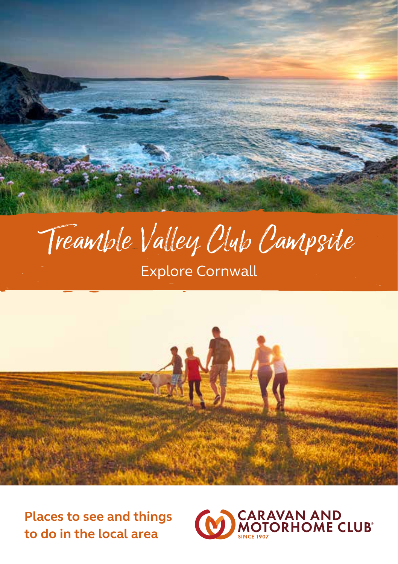# Treamble Valley Club Campsite Explore Cornwall



**Places to see and things to do in the local area**

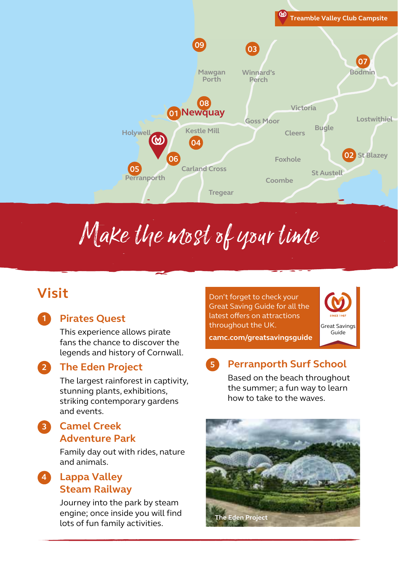

# Make the most of your time

### **Visit**

#### **1**

#### **Pirates Quest**

This experience allows pirate fans the chance to discover the legends and history of Cornwall.

#### **2**

**The Eden Project**

The largest rainforest in captivity, stunning plants, exhibitions, striking contemporary gardens and events.

#### **Camel Creek Adventure Park 3**

Family day out with rides, nature and animals.

#### **Lappa Valley 4 Steam Railway**

Journey into the park by steam engine; once inside you will find lots of fun family activities.

Don't forget to check your Great Saving Guide for all the latest offers on attractions throughout the UK.



**camc.com/greatsavingsguide**

#### **Perranporth Surf School 5**

Based on the beach throughout the summer; a fun way to learn how to take to the waves.

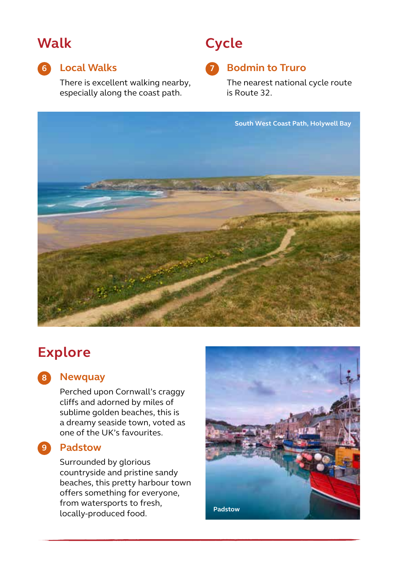## **Walk**

### **6**

#### **Local Walks**

There is excellent walking nearby, especially along the coast path.

## **Cycle**

#### **Bodmin to Truro 7**

The nearest national cycle route is Route 32.



## **Explore**

#### **8**

#### **Newquay**

Perched upon Cornwall's craggy cliffs and adorned by miles of sublime golden beaches, this is a dreamy seaside town, voted as one of the UK's favourites.

**Padstow 9**

Surrounded by glorious countryside and pristine sandy beaches, this pretty harbour town offers something for everyone, from watersports to fresh, locally-produced food. **Padstow**